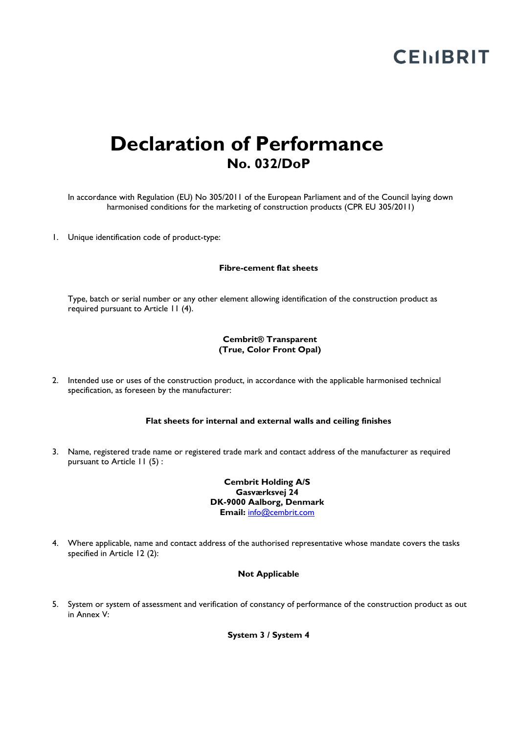# **CEMBRIT**

# **Declaration of Performance No. 032/DoP**

In accordance with Regulation (EU) No 305/2011 of the European Parliament and of the Council laying down harmonised conditions for the marketing of construction products (CPR EU 305/2011)

1. Unique identification code of product-type:

#### **Fibre-cement flat sheets**

Type, batch or serial number or any other element allowing identification of the construction product as required pursuant to Article 11 (4).

#### **Cembrit® Transparent (True, Color Front Opal)**

2. Intended use or uses of the construction product, in accordance with the applicable harmonised technical specification, as foreseen by the manufacturer:

## **Flat sheets for internal and external walls and ceiling finishes**

3. Name, registered trade name or registered trade mark and contact address of the manufacturer as required pursuant to Article 11 (5) :

> **Cembrit Holding A/S Gasværksvej 24 DK-9000 Aalborg, Denmark Email:** [info@cembrit.com](mailto:info@cembrit.com)

4. Where applicable, name and contact address of the authorised representative whose mandate covers the tasks specified in Article 12 (2):

#### **Not Applicable**

5. System or system of assessment and verification of constancy of performance of the construction product as out in Annex V:

**System 3 / System 4**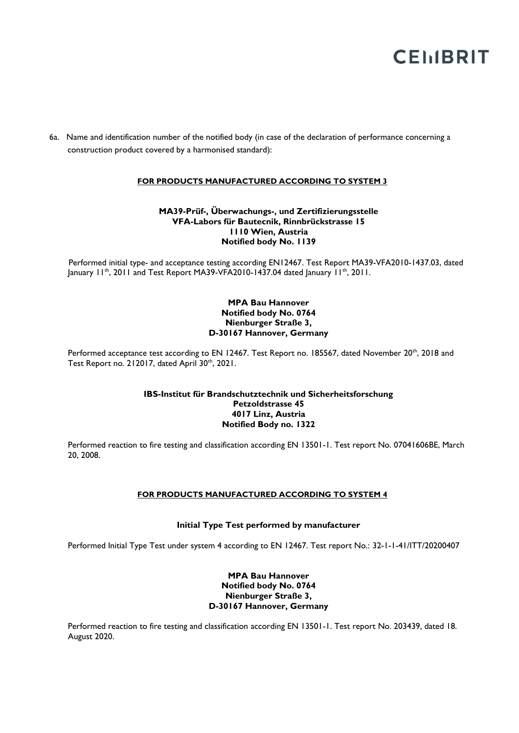# **CEMBRIT**

6a. Name and identification number of the notified body (in case of the declaration of performance concerning a construction product covered by a harmonised standard):

# **FOR PRODUCTS MANUFACTURED ACCORDING TO SYSTEM 3**

#### **MA39-Prüf-, Überwachungs-, und Zertifizierungsstelle VFA-Labors für Bautecnik, Rinnbrückstrasse 15 1110 Wien, Austria Notified body No. 1139**

 Performed initial type- and acceptance testing according EN12467. Test Report MA39-VFA2010-1437.03, dated January 11<sup>th</sup>, 2011 and Test Report MA39-VFA2010-1437.04 dated January 11<sup>th</sup>, 2011.

# **MPA Bau Hannover Notified body No. 0764 Nienburger Straße 3, D-30167 Hannover, Germany**

Performed acceptance test according to EN 12467. Test Report no. 185567, dated November 20<sup>th</sup>, 2018 and Test Report no. 212017, dated April 30<sup>th</sup>, 2021.

# **IBS-Institut für Brandschutztechnik und Sicherheitsforschung Petzoldstrasse 45 4017 Linz, Austria Notified Body no. 1322**

Performed reaction to fire testing and classification according EN 13501-1. Test report No. 07041606BE, March 20, 2008.

#### **FOR PRODUCTS MANUFACTURED ACCORDING TO SYSTEM 4**

#### **Initial Type Test performed by manufacturer**

Performed Initial Type Test under system 4 according to EN 12467. Test report No.: 32-1-1-41/ITT/20200407

# **MPA Bau Hannover Notified body No. 0764 Nienburger Straße 3, D-30167 Hannover, Germany**

Performed reaction to fire testing and classification according EN 13501-1. Test report No. 203439, dated 18. August 2020.